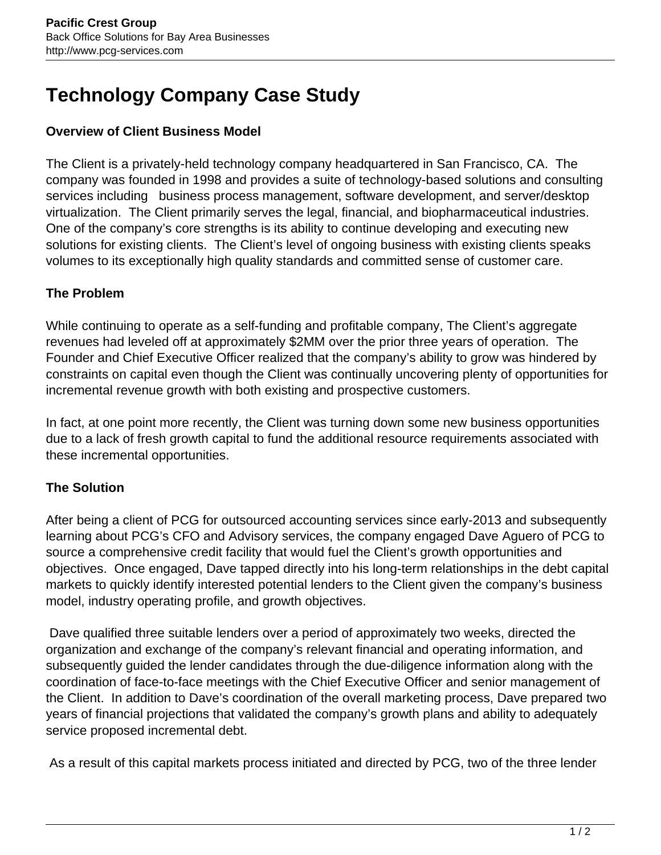# **Technology Company Case Study**

#### **Overview of Client Business Model**

The Client is a privately-held technology company headquartered in San Francisco, CA. The company was founded in 1998 and provides a suite of technology-based solutions and consulting services including business process management, software development, and server/desktop virtualization. The Client primarily serves the legal, financial, and biopharmaceutical industries. One of the company's core strengths is its ability to continue developing and executing new solutions for existing clients. The Client's level of ongoing business with existing clients speaks volumes to its exceptionally high quality standards and committed sense of customer care.

### **The Problem**

While continuing to operate as a self-funding and profitable company, The Client's aggregate revenues had leveled off at approximately \$2MM over the prior three years of operation. The Founder and Chief Executive Officer realized that the company's ability to grow was hindered by constraints on capital even though the Client was continually uncovering plenty of opportunities for incremental revenue growth with both existing and prospective customers.

In fact, at one point more recently, the Client was turning down some new business opportunities due to a lack of fresh growth capital to fund the additional resource requirements associated with these incremental opportunities.

## **The Solution**

After being a client of PCG for outsourced accounting services since early-2013 and subsequently learning about PCG's CFO and Advisory services, the company engaged Dave Aguero of PCG to source a comprehensive credit facility that would fuel the Client's growth opportunities and objectives. Once engaged, Dave tapped directly into his long-term relationships in the debt capital markets to quickly identify interested potential lenders to the Client given the company's business model, industry operating profile, and growth objectives.

 Dave qualified three suitable lenders over a period of approximately two weeks, directed the organization and exchange of the company's relevant financial and operating information, and subsequently guided the lender candidates through the due-diligence information along with the coordination of face-to-face meetings with the Chief Executive Officer and senior management of the Client. In addition to Dave's coordination of the overall marketing process, Dave prepared two years of financial projections that validated the company's growth plans and ability to adequately service proposed incremental debt.

As a result of this capital markets process initiated and directed by PCG, two of the three lender